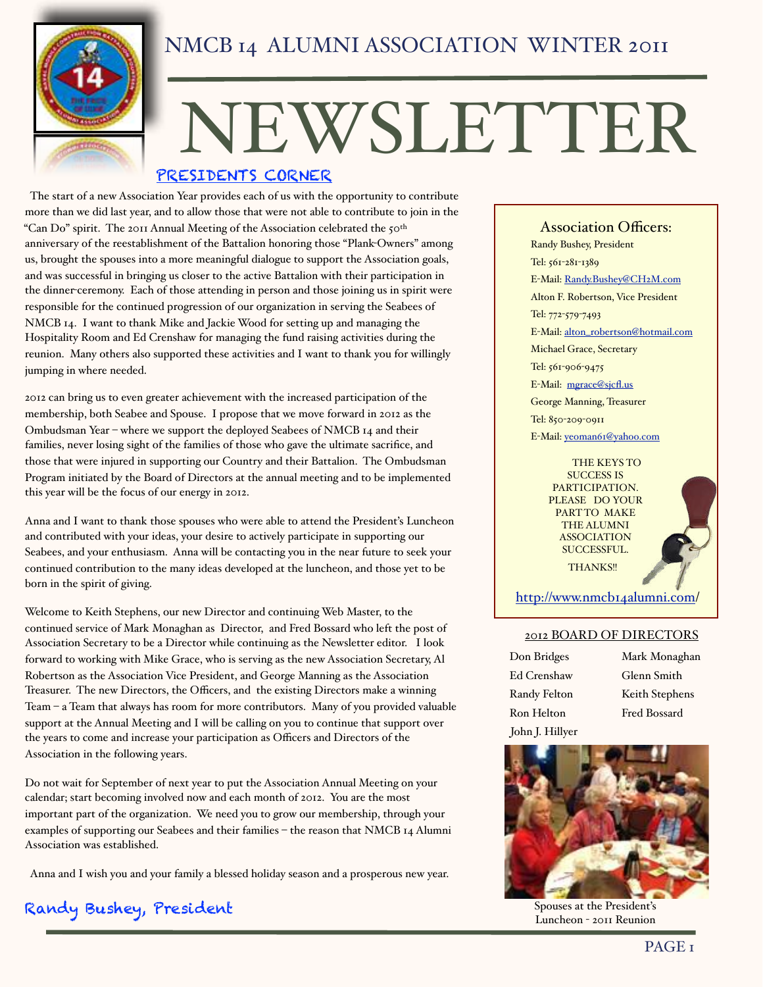

# NEWSLETTER PRESIDENTS CORNER

 The start of a new Association Year provides each of us with the opportunity to contribute more than we did last year, and to allow those that were not able to contribute to join in the ìCan Doî spirit. The 2011 Annual Meeting of the Association celebrated the 50th anniversary of the reestablishment of the Battalion honoring those "Plank-Owners" among us, brought the spouses into a more meaningful dialogue to support the Association goals, and was successful in bringing us closer to the active Battalion with their participation in the dinner-ceremony. Each of those attending in person and those joining us in spirit were responsible for the continued progression of our organization in serving the Seabees of NMCB 14. I want to thank Mike and Jackie Wood for setting up and managing the Hospitality Room and Ed Crenshaw for managing the fund raising activities during the reunion. Many others also supported these activities and I want to thank you for willingly jumping in where needed.

2012 can bring us to even greater achievement with the increased participation of the membership, both Seabee and Spouse. I propose that we move forward in 2012 as the Ombudsman Year - where we support the deployed Seabees of NMCB 14 and their families, never losing sight of the families of those who gave the ultimate sacrifice, and those that were injured in supporting our Country and their Battalion. The Ombudsman Program initiated by the Board of Directors at the annual meeting and to be implemented this year will be the focus of our energy in 2012.

Anna and I want to thank those spouses who were able to attend the President's Luncheon and contributed with your ideas, your desire to actively participate in supporting our Seabees, and your enthusiasm. Anna will be contacting you in the near future to seek your continued contribution to the many ideas developed at the luncheon, and those yet to be born in the spirit of giving.

Welcome to Keith Stephens, our new Director and continuing Web Master, to the continued service of Mark Monaghan as Director, and Fred Bossard who left the post of Association Secretary to be a Director while continuing as the Newsletter editor. I look forward to working with Mike Grace, who is serving as the new Association Secretary, Al Robertson as the Association Vice President, and George Manning as the Association Treasurer. The new Directors, the Officers, and the existing Directors make a winning Team  $-a$  Team that always has room for more contributors. Many of you provided valuable support at the Annual Meeting and I will be calling on you to continue that support over the years to come and increase your participation as Officers and Directors of the Association in the following years.

Do not wait for September of next year to put the Association Annual Meeting on your calendar; start becoming involved now and each month of 2012. You are the most important part of the organization. We need you to grow our membership, through your examples of supporting our Seabees and their families - the reason that NMCB 14 Alumni Association was established.

Anna and I wish you and your family a blessed holiday season and a prosperous new year.

Randy Bushey, President

**Association Officers:** Randy Bushey, President Tel: 561-281-1389 E-Mail: [Randy.Bushey@CH2M.com](mailto:Randy.Bushey@CH2M.com) Alton F. Robertson, Vice President Tel: 772-579-7493 E-Mail: [alton\\_robertson@hotmail.com](mailto:alton_robertson@hotmail.com) Michael Grace, Secretary Tel: 561-906-9475 E-Mail: [mgrace@sjcØ.us](mailto:mgrace@sjcfl.us) George Manning, Treasurer Tel: 850-209-0911 E-Mail: [yeoman61@yahoo.com](mailto:r.l.helton@att.net)

> THE KEYS TO SUCCESS IS PARTICIPATION. PLEASE DO YOUR PART TO MAKE THE ALUMNI ASSOCIATION SUCCESSFUL. THANKS!!



[http://www.nmcb14alumni.com/](http://www.nmcb14alumni.com)

#### 2012 BOARD OF DIRECTORS

| Don Bridges     | Mark Monaghan  |
|-----------------|----------------|
| Ed Crenshaw     | Glenn Smith    |
| Randy Felton    | Keith Stephens |
| Ron Helton      | Fred Bossard   |
| John J. Hillyer |                |



Spouses at the President's Luncheon - 2011 Reunion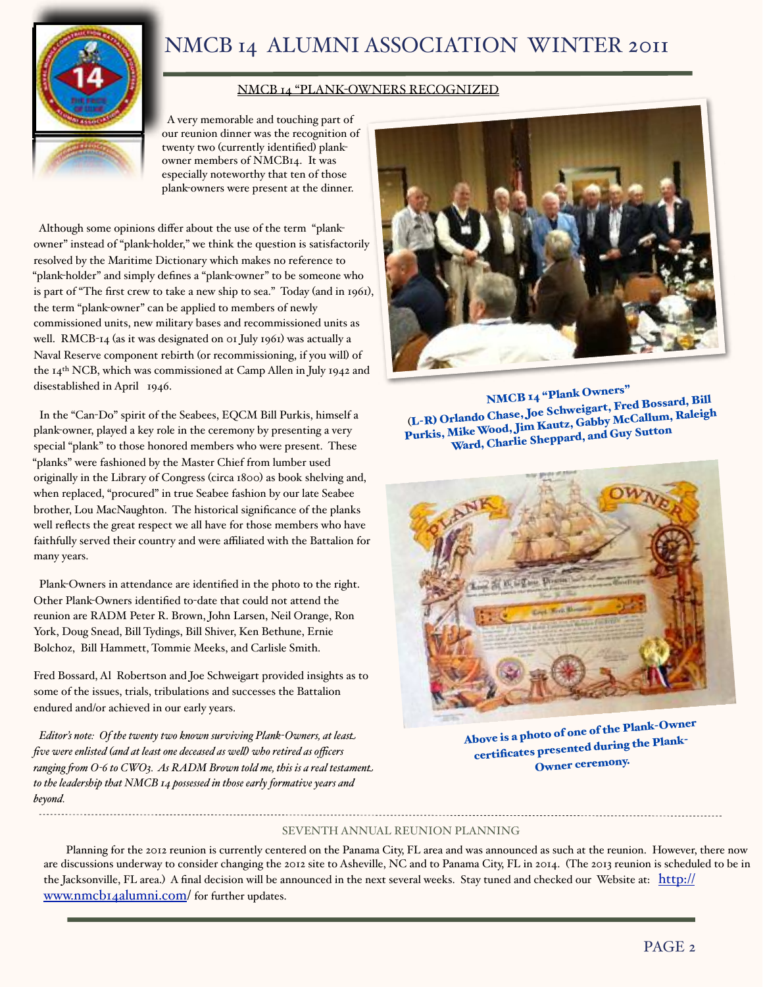

#### NMCB 14 "PLANK-OWNERS RECOGNIZED

 A very memorable and touching part of our reunion dinner was the recognition of twenty two (currently identified) plankowner members of NMCB14. It was especially noteworthy that ten of those plank-owners were present at the dinner.

Although some opinions differ about the use of the term "plankowner" instead of "plank-holder," we think the question is satisfactorily resolved by the Maritime Dictionary which makes no reference to "plank-holder" and simply defines a "plank-owner" to be someone who is part of "The first crew to take a new ship to sea." Today (and in 1961), the term "plank-owner" can be applied to members of newly commissioned units, new military bases and recommissioned units as well. RMCB-14 (as it was designated on 01 July 1961) was actually a Naval Reserve component rebirth (or recommissioning, if you will) of the 14th NCB, which was commissioned at Camp Allen in July 1942 and disestablished in April 1946.

In the "Can-Do" spirit of the Seabees, EQCM Bill Purkis, himself a plank-owner, played a key role in the ceremony by presenting a very special "plank" to those honored members who were present. These "planks" were fashioned by the Master Chief from lumber used originally in the Library of Congress (circa 1800) as book shelving and, when replaced, "procured" in true Seabee fashion by our late Seabee brother, Lou MacNaughton. The historical significance of the planks well reflects the great respect we all have for those members who have faithfully served their country and were affiliated with the Battalion for many years.

Plank-Owners in attendance are identified in the photo to the right. Other Plank-Owners identified to-date that could not attend the reunion are RADM Peter R. Brown, John Larsen, Neil Orange, Ron York, Doug Snead, Bill Tydings, Bill Shiver, Ken Bethune, Ernie Bolchoz, Bill Hammett, Tommie Meeks, and Carlisle Smith.

Fred Bossard, Al Robertson and Joe Schweigart provided insights as to some of the issues, trials, tribulations and successes the Battalion endured and/or achieved in our early years.

*Editorís note: Of the twenty two known surviving Plank-Owners, at least five were enlisted (and at least one deceased as well) who retired as officers* ranging from O-6 to CWO3. As RADM Brown told me, this is a real testament. *to the leadership that NMCB 14 possessed in those early formative years and beyond.*



**NMCB <sup>14</sup> ìPlank Owners<sup>î</sup>** (**L-R) Orlando Chase, Joe Schweigart, Fred Bossard, Bill Purkis, MikeWood, Jim Kautz, Gabby McCallum, Raleigh Ward, Charlie Sheppard, and Guy Sutton**



**Above is <sup>a</sup> photo of one of the Plank-Owner certiÆcates presente<sup>d</sup> during the Plank-Owner ceremony.**

#### SEVENTH ANNUAL REUNION PLANNING

Planning for the 2012 reunion is currently centered on the Panama City, FL area and was announced as such at the reunion. However, there now are discussions underway to consider changing the 2012 site to Asheville, NC and to Panama City, FL in 2014. (The 2013 reunion is scheduled to be in the Jacksonville, FL area.) A final decision will be announced in the next several weeks. Stay tuned and checked our Website at: [http://](http://www.nmcb14alumni.com) [www.nmcb14alumni.com/](http://www.nmcb14alumni.com) for further updates.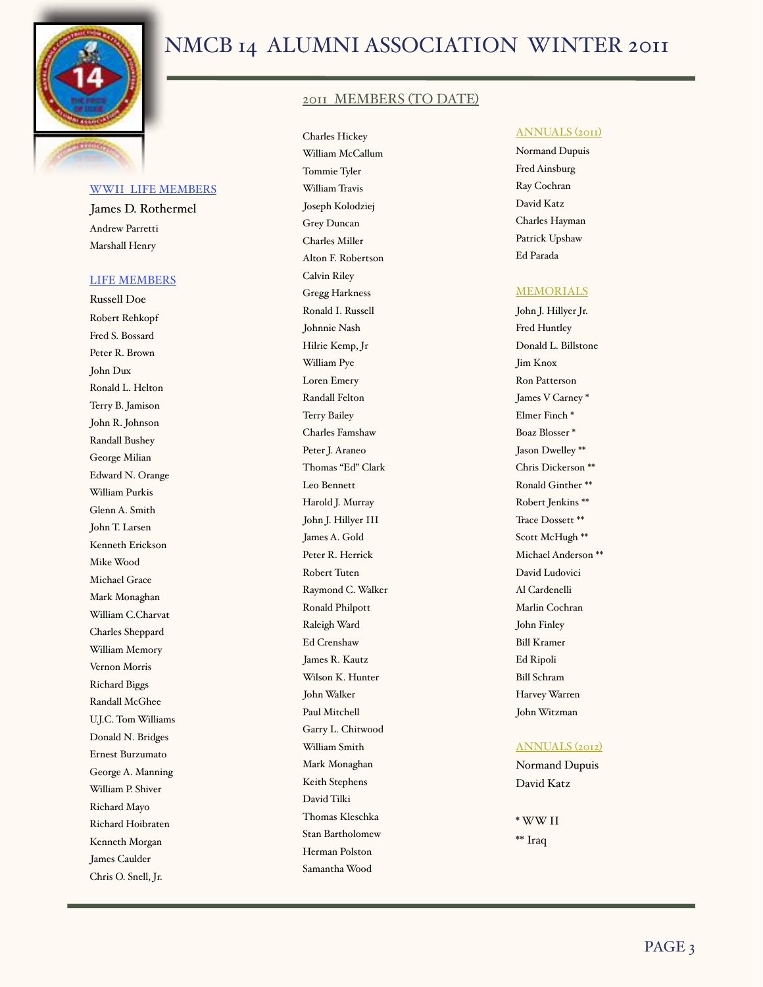

#### WWII LIFE MEMBERS

James D. Rothermel Andrew Parretti Marshall Henry

#### LIFE MEMBERS

Russell Doe Robert Rehkopf Fred S. Bossard Peter R. Brown John Dux Ronald L. Helton Terry B. Jamison John R. Johnson Randall Bushey George Milian Edward N. Orange William Purkis Glenn A. Smith John T. Larsen Kenneth Erickson Mike Wood Michael Grace Mark Monaghan William C.Charvat Charles Sheppard William Memory Vernon Morris Richard Biggs Randall McGhee U.J.C. Tom Williams Donald N. Bridges Ernest Burzumato George A. Manning William P. Shiver Richard Mayo Richard Hoibraten Kenneth Morgan James Caulder Chris O. Snell, Jr.

#### 2011 MEMBERS (TO DATE)

Charles Hickey William McCallum Tommie Tyler William Travis Joseph Kolodziej Grey Duncan Charles Miller Alton F. Robertson Calvin Riley Gregg Harkness Ronald I. Russell Johnnie Nash Hilrie Kemp, Jr William Pye Loren Emery Randall Felton Terry Bailey Charles Famshaw Peter J. Araneo Thomas "Ed" Clark Leo Bennett Harold J. Murray John J. Hillyer III James A. Gold Peter R. Herrick Robert Tuten Raymond C. Walker Ronald Philpott Raleigh Ward Ed Crenshaw James R. Kautz Wilson K. Hunter John Walker Paul Mitchell Garry L. Chitwood William Smith Mark Monaghan Keith Stephens David Tilki Thomas Kleschka Stan Bartholomew Herman Polston Samantha Wood

#### ANNUALS (2011)

Normand Dupuis Fred Ainsburg Ray Cochran David Katz Charles Hayman Patrick Upshaw Ed Parada

#### **MEMORIALS**

John J. Hillyer Jr. Fred Huntley Donald L. Billstone Jim Knox Ron Patterson James V Carney \* Elmer Finch \* Boaz Blosser \* Jason Dwelley \*\* Chris Dickerson \*\* Ronald Ginther \*\* Robert Jenkins \*\* Trace Dossett \*\* Scott McHugh \*\* Michael Anderson \*\* David Ludovici Al Cardenelli Marlin Cochran John Finley Bill Kramer Ed Ripoli Bill Schram Harvey Warren John Witzman

#### ANNUALS (2012)

Normand Dupuis David Katz

\* WW II \*\* Iraq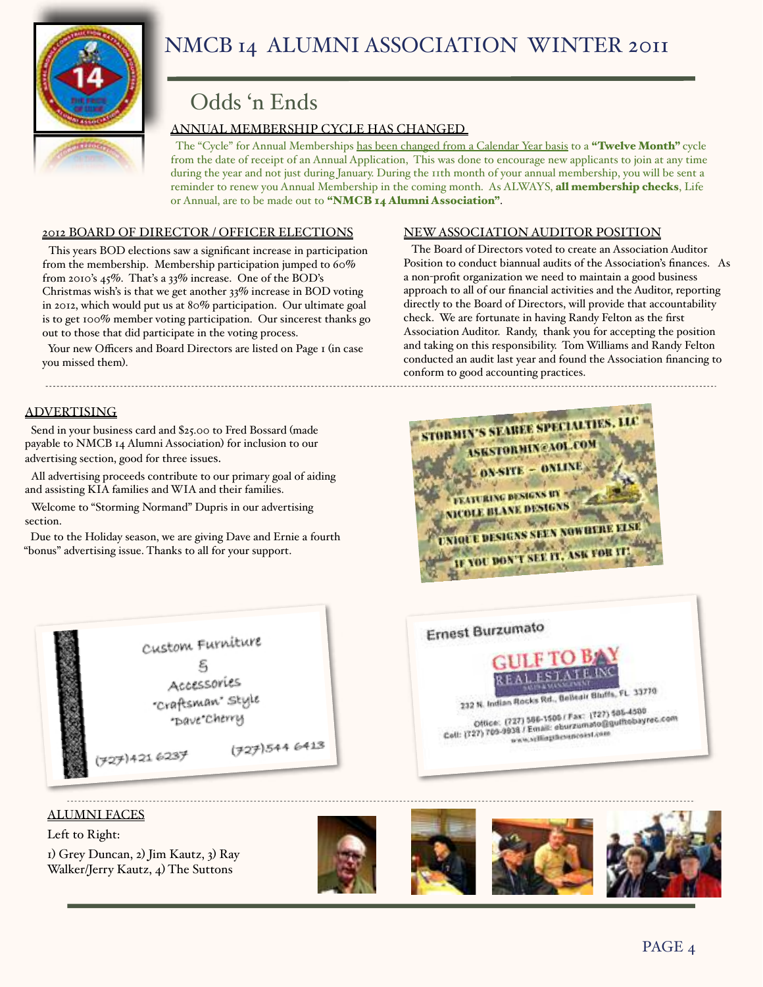

### Odds ën Ends

#### ANNUAL MEMBERSHIP CYCLE HAS CHANGED

The "Cycle" for Annual Memberships has been changed from a Calendar Year basis to a "Twelve Month" cycle from the date of receipt of an Annual Application, This was done to encourage new applicants to join at any time during the year and not just during January. During the 11th month of your annual membership, you will be sent a reminder to renew you Annual Membership in the coming month. As ALWAYS, **all membership checks**, Life or Annual, are to be made out to "NMCB 14 Alumni Association".

#### 2012 BOARD OF DIRECTOR / OFFICER ELECTIONS

This years BOD elections saw a significant increase in participation from the membership. Membership participation jumped to 60% from 2010's  $45\%$ . That's a 33% increase. One of the BOD's Christmas wish's is that we get another 33% increase in BOD voting in 2012, which would put us at 80% participation. Our ultimate goal is to get 100% member voting participation. Our sincerest thanks go out to those that did participate in the voting process.

Your new Officers and Board Directors are listed on Page 1 (in case you missed them).

#### ADVERTISING

Send in your business card and \$25.00 to Fred Bossard (made payable to NMCB 14 Alumni Association) for inclusion to our advertising section, good for three issues.

All advertising proceeds contribute to our primary goal of aiding and assisting KIA families and WIA and their families.

Welcome to "Storming Normand" Dupris in our advertising section.

 Due to the Holiday season, we are giving Dave and Ernie a fourth ìbonusî advertising issue. Thanks to all for your support.



#### ALUMNI FACES

Left to Right: 1) Grey Duncan, 2) Jim Kautz, 3) Ray Walker/Jerry Kautz, 4) The Suttons









#### NEW ASSOCIATION AUDITOR POSITION

 The Board of Directors voted to create an Association Auditor Position to conduct biannual audits of the Association's finances. As a non-profit organization we need to maintain a good business approach to all of our financial activities and the Auditor, reporting directly to the Board of Directors, will provide that accountability check. We are fortunate in having Randy Felton as the first Association Auditor. Randy, thank you for accepting the position and taking on this responsibility. Tom Williams and Randy Felton conducted an audit last year and found the Association financing to conform to good accounting practices.



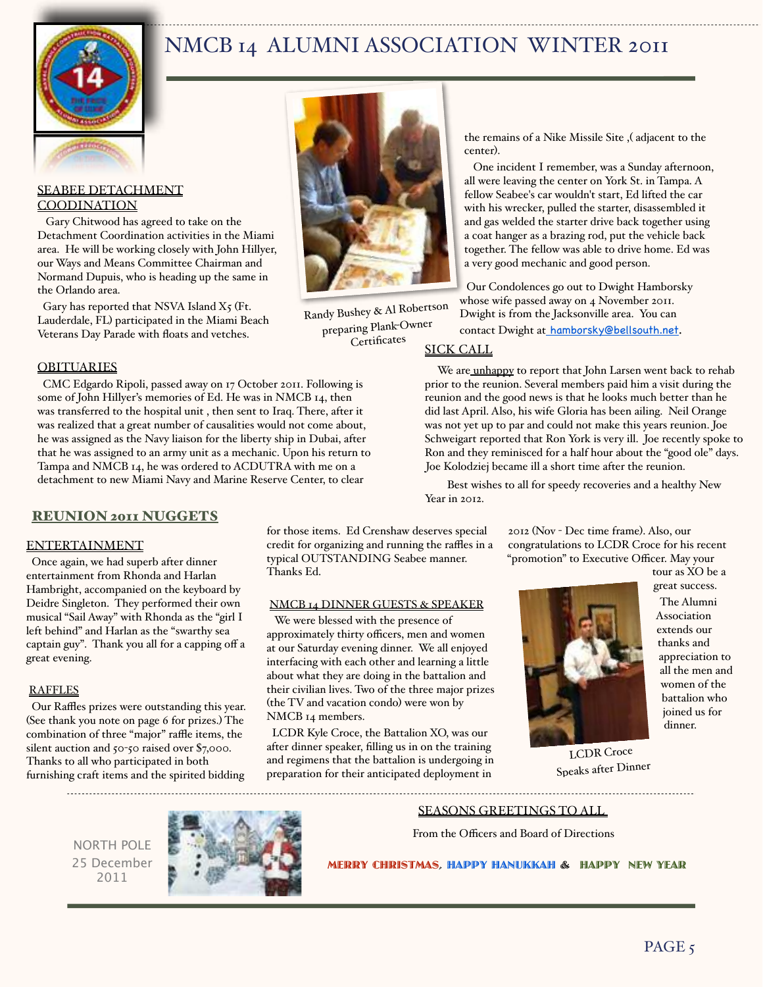

#### SEABEE DETACHMENT **COODINATION**

 Gary Chitwood has agreed to take on the Detachment Coordination activities in the Miami area. He will be working closely with John Hillyer, our Ways and Means Committee Chairman and Normand Dupuis, who is heading up the same in the Orlando area.

Gary has reported that NSVA Island  $X_5$  (Ft. Lauderdale, FL) participated in the Miami Beach Veterans Day Parade with floats and vetches.



 CMC Edgardo Ripoli, passed away on 17 October 2011. Following is some of John Hillyer's memories of Ed. He was in NMCB 14, then was transferred to the hospital unit , then sent to Iraq. There, after it was realized that a great number of causalities would not come about, he was assigned as the Navy liaison for the liberty ship in Dubai, after that he was assigned to an army unit as a mechanic. Upon his return to Tampa and NMCB 14, he was ordered to ACDUTRA with me on a detachment to new Miami Navy and Marine Reserve Center, to clear

#### **REUNION 2011 NUGGETS**

#### ENTERTAINMENT

 Once again, we had superb after dinner entertainment from Rhonda and Harlan Hambright, accompanied on the keyboard by Deidre Singleton. They performed their own musical "Sail Away" with Rhonda as the "girl I left behind" and Harlan as the "swarthy sea captain guy". Thank you all for a capping off a great evening.

#### RAFFLES

Our Raffles prizes were outstanding this year. (See thank you note on page 6 for prizes.) The combination of three "major" raffle items, the silent auction and 50-50 raised over \$7,000. Thanks to all who participated in both furnishing craft items and the spirited bidding



Randy Bushey & Al Robertson preparing Plank-Owner Certificates

the remains of a Nike Missile Site ,( adjacent to the center).

One incident I remember, was a Sunday afternoon, all were leaving the center on York St. in Tampa. A fellow Seabee's car wouldn't start, Ed lifted the car with his wrecker, pulled the starter, disassembled it and gas welded the starter drive back together using a coat hanger as a brazing rod, put the vehicle back together. The fellow was able to drive home. Ed was a very good mechanic and good person.

Our Condolences go out to Dwight Hamborsky whose wife passed away on 4 November 2011. Dwight is from the Jacksonville area. You can contact Dwight at [hamborsky@bellsouth.net](mailto:hamborsky@bellsouth.net).

#### SICK CALL

We are unhappy to report that John Larsen went back to rehab prior to the reunion. Several members paid him a visit during the reunion and the good news is that he looks much better than he did last April. Also, his wife Gloria has been ailing. Neil Orange was not yet up to par and could not make this years reunion. Joe Schweigart reported that Ron York is very ill. Joe recently spoke to Ron and they reminisced for a half hour about the "good ole" days. Joe Kolodziej became ill a short time after the reunion.

Best wishes to all for speedy recoveries and a healthy New Year in 2012.

> 2012 (Nov - Dec time frame). Also, our congratulations to LCDR Croce for his recent "promotion" to Executive Officer. May your

> > tour as XO be a great success.



 The Alumni Association extends our thanks and appreciation to all the men and women of the battalion who joined us for dinner.

typical OUTSTANDING Seabee manner. Thanks Ed. NMCB 14 DINNER GUESTS & SPEAKER

for those items. Ed Crenshaw deserves special credit for organizing and running the raffles in a

 We were blessed with the presence of approximately thirty officers, men and women at our Saturday evening dinner. We all enjoyed interfacing with each other and learning a little about what they are doing in the battalion and their civilian lives. Two of the three major prizes (the TV and vacation condo) were won by NMCB 14 members.

 LCDR Kyle Croce, the Battalion XO, was our after dinner speaker, filling us in on the training and regimens that the battalion is undergoing in preparation for their anticipated deployment in

LCDR Croce Speaks after Dinner

----------------------------------

NORTH POLE 25 December 2011



#### SEASONS GREETINGS TO ALL

From the Officers and Board of Directions

MERRY CHRISTMAS, HAPPY HANUKKAH & HAPPY NEW YEAR